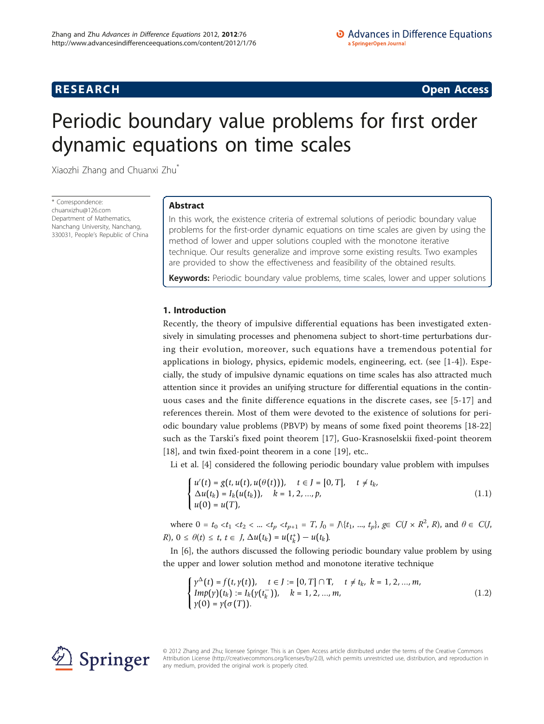# **RESEARCH CONSTRUCTION CONSTRUCTS**

# Periodic boundary value problems for fırst order dynamic equations on time scales

Xiaozhi Zhang and Chuanxi Zhu\*

\* Correspondence: [chuanxizhu@126.com](mailto:chuanxizhu@126.com) Department of Mathematics, Nanchang University, Nanchang, 330031, People's Republic of China

# Abstract

In this work, the existence criteria of extremal solutions of periodic boundary value problems for the first-order dynamic equations on time scales are given by using the method of lower and upper solutions coupled with the monotone iterative technique. Our results generalize and improve some existing results. Two examples are provided to show the effectiveness and feasibility of the obtained results.

Keywords: Periodic boundary value problems, time scales, lower and upper solutions

# 1. Introduction

Recently, the theory of impulsive differential equations has been investigated extensively in simulating processes and phenomena subject to short-time perturbations during their evolution, moreover, such equations have a tremendous potential for applications in biology, physics, epidemic models, engineering, ect. (see [\[1](#page-14-0)[-4](#page-15-0)]). Especially, the study of impulsive dynamic equations on time scales has also attracted much attention since it provides an unifying structure for differential equations in the continuous cases and the finite difference equations in the discrete cases, see [[5](#page-15-0)-[17](#page-15-0)] and references therein. Most of them were devoted to the existence of solutions for periodic boundary value problems (PBVP) by means of some fixed point theorems [\[18-22](#page-15-0)] such as the Tarski's fixed point theorem [[17\]](#page-15-0), Guo-Krasnoselskii fixed-point theorem [[18\]](#page-15-0), and twin fixed-point theorem in a cone [\[19\]](#page-15-0), etc..

Li et al. [\[4\]](#page-15-0) considered the following periodic boundary value problem with impulses

$$
\begin{cases}\n u'(t) = g(t, u(t), u(\theta(t))), & t \in J = [0, T], \quad t \neq t_k, \\
 \Delta u(t_k) = I_k(u(t_k)), & k = 1, 2, ..., p, \\
 u(0) = u(T), & \n\end{cases}
$$
\n(1.1)

where  $0 = t_0 < t_1 < t_2 < ... < t_p < t_{p+1} = T$ ,  $J_0 = \Lambda \{t_1, ..., t_p\}$ ,  $g \in C(J \times R^2, R)$ , and  $\theta \in C(J, R)$  $R$ ,  $0 \le \theta(t) \le t$ ,  $t \in J$ ,  $\Delta u(t_k) = u(t_k^+) - u(t_k)$ .

In [[6\]](#page-15-0), the authors discussed the following periodic boundary value problem by using the upper and lower solution method and monotone iterative technique

$$
\begin{cases}\n\gamma^{\Delta}(t) = f(t, \gamma(t)), & t \in J := [0, T] \cap T, \quad t \neq t_k, \ k = 1, 2, ..., m, \\
Imp(\gamma)(t_k) := I_k(\gamma(t_k^-)), & k = 1, 2, ..., m, \\
\gamma(0) = \gamma(\sigma(T)).\n\end{cases} \tag{1.2}
$$



© 2012 Zhang and Zhu; licensee Springer. This is an Open Access article distributed under the terms of the Creative Commons Attribution License [\(http://creativecommons.org/licenses/by/2.0](http://creativecommons.org/licenses/by/2.0)), which permits unrestricted use, distribution, and reproduction in any medium, provided the original work is properly cited.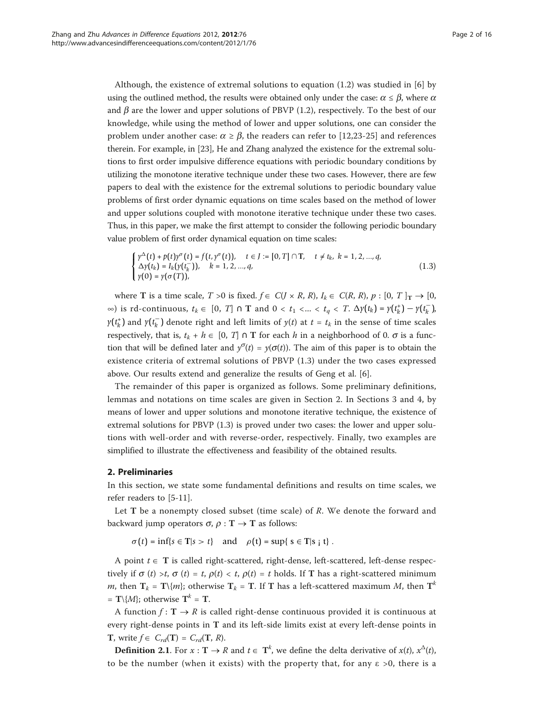Although, the existence of extremal solutions to equation (1.2) was studied in [[6\]](#page-15-0) by using the outlined method, the results were obtained only under the case:  $\alpha \le \beta$ , where  $\alpha$ and  $\beta$  are the lower and upper solutions of PBVP (1.2), respectively. To the best of our knowledge, while using the method of lower and upper solutions, one can consider the problem under another case:  $\alpha \ge \beta$ , the readers can refer to [[12,23-25\]](#page-15-0) and references therein. For example, in [[23](#page-15-0)], He and Zhang analyzed the existence for the extremal solutions to first order impulsive difference equations with periodic boundary conditions by utilizing the monotone iterative technique under these two cases. However, there are few papers to deal with the existence for the extremal solutions to periodic boundary value problems of first order dynamic equations on time scales based on the method of lower and upper solutions coupled with monotone iterative technique under these two cases. Thus, in this paper, we make the first attempt to consider the following periodic boundary value problem of first order dynamical equation on time scales:

$$
\begin{cases}\n\gamma^{\Delta}(t) + p(t)\gamma^{\sigma}(t) = f(t, \gamma^{\sigma}(t)), & t \in J := [0, T] \cap T, \quad t \neq t_k, \ k = 1, 2, ..., q, \\
\Delta y(t_k) = I_k(y(t_k^-)), & k = 1, 2, ..., q, \\
\gamma(0) = \gamma(\sigma(T)), & \n\end{cases}
$$
\n(1.3)

where T is a time scale,  $T > 0$  is fixed.  $f \in C(J \times R, R)$ ,  $I_k \in C(R, R)$ ,  $p : [0, T]_T \rightarrow [0, T]_T$ ∞) is rd-continuous,  $t_k$  ∈ [0, *T*] ∩ **T** and 0 <  $t_1$  <... <  $t_q$  < *T*.  $\Delta y(t_k) = y(t_k^+) - y(t_k^-)$ , *y*( $t_k^+$ ) and *y*( $t_k^-$ ) denote right and left limits of *y*(*t*) at  $t = t_k$  in the sense of time scales respectively, that is,  $t_k + h \in [0, T] \cap T$  for each h in a neighborhood of 0.  $\sigma$  is a function that will be defined later and  $y^{\sigma}(t) = y(\sigma(t))$ . The aim of this paper is to obtain the existence criteria of extremal solutions of PBVP (1.3) under the two cases expressed above. Our results extend and generalize the results of Geng et al. [[6\]](#page-15-0).

The remainder of this paper is organized as follows. Some preliminary definitions, lemmas and notations on time scales are given in Section 2. In Sections 3 and 4, by means of lower and upper solutions and monotone iterative technique, the existence of extremal solutions for PBVP (1.3) is proved under two cases: the lower and upper solutions with well-order and with reverse-order, respectively. Finally, two examples are simplified to illustrate the effectiveness and feasibility of the obtained results.

### 2. Preliminaries

In this section, we state some fundamental definitions and results on time scales, we refer readers to [\[5-11](#page-15-0)].

Let T be a nonempty closed subset (time scale) of R. We denote the forward and backward jump operators  $\sigma$ ,  $\rho : T \rightarrow T$  as follows:

 $\sigma(t) = \inf\{s \in \mathbf{T} | s > t\}$  and  $\rho(t) = \sup\{s \in \mathbf{T} | s \mid t\}.$ 

A point  $t \in T$  is called right-scattered, right-dense, left-scattered, left-dense respectively if  $\sigma(t) > t$ ,  $\sigma(t) = t$ ,  $\rho(t) < t$ ,  $\rho(t) = t$  holds. If T has a right-scattered minimum *m*, then  $T_k = T\{m\}$ ; otherwise  $T_k = T$ . If T has a left-scattered maximum *M*, then  $T^k$ =  $\mathbf{T} \setminus \{M\}$ ; otherwise  $\mathbf{T}^k = \mathbf{T}$ .

A function  $f: \mathbf{T} \to R$  is called right-dense continuous provided it is continuous at every right-dense points in T and its left-side limits exist at every left-dense points in **T**, write  $f \in C_{rd}(T) = C_{rd}(T, R)$ .

**Definition 2.1.** For  $x : T \to R$  and  $t \in T^k$ , we define the delta derivative of  $x(t)$ ,  $x^{\Delta}(t)$ , to be the number (when it exists) with the property that, for any  $\varepsilon > 0$ , there is a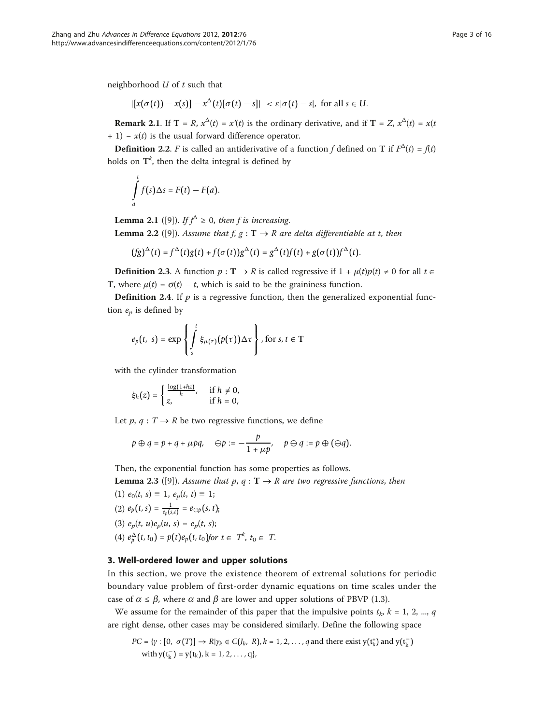neighborhood  $U$  of  $t$  such that

$$
| [x(\sigma(t)) - x(s)] - x^{\Delta}(t) [\sigma(t) - s] | < \varepsilon |\sigma(t) - s|, \text{ for all } s \in U.
$$

**Remark 2.1.** If  $T = R$ ,  $x^{\Delta}(t) = x'(t)$  is the ordinary derivative, and if  $T = Z$ ,  $x^{\Delta}(t) = x(t)$ + 1) –  $x(t)$  is the usual forward difference operator.

**Definition 2.2.** F is called an antiderivative of a function f defined on **T** if  $F^{\Delta}(t) = f(t)$ holds on  $\textsf{T}^k$ , then the delta integral is defined by

$$
\int_{a}^{t} f(s) \Delta s = F(t) - F(a).
$$

**Lemma 2.1** ([\[9](#page-15-0)]). If  $f^{\Delta} \ge 0$ , then f is increasing. **Lemma 2.2** ([\[9](#page-15-0)]). Assume that f,  $g: T \rightarrow R$  are delta differentiable at t, then

$$
(fg)^{\Delta}(t) = f^{\Delta}(t)g(t) + f(\sigma(t))g^{\Delta}(t) = g^{\Delta}(t)f(t) + g(\sigma(t))f^{\Delta}(t).
$$

**Definition 2.3.** A function  $p : T \to R$  is called regressive if  $1 + \mu(t)p(t) \neq 0$  for all  $t \in R$ T, where  $u(t) = \sigma(t) - t$ , which is said to be the graininess function.

**Definition 2.4.** If  $p$  is a regressive function, then the generalized exponential function  $e_n$  is defined by

$$
e_p(t, s) = \exp \left\{ \int_s^t \xi_{\mu(\tau)}(p(\tau)) \Delta \tau \right\}, \text{for } s, t \in \mathbb{T}
$$

with the cylinder transformation

$$
\xi_h(z) = \begin{cases} \frac{\log(1+hz)}{h}, & \text{if } h \neq 0, \\ z, & \text{if } h = 0, \end{cases}
$$

Let  $p, q: T \rightarrow R$  be two regressive functions, we define

$$
p \oplus q = p + q + \mu pq
$$
,  $\ominus p := -\frac{p}{1 + \mu p}$ ,  $p \ominus q := p \oplus (\ominus q)$ .

Then, the exponential function has some properties as follows.

**Lemma 2.3** ([\[9](#page-15-0)]). Assume that p,  $q : T \rightarrow R$  are two regressive functions, then

- (1)  $e_0(t, s) \equiv 1, e_p(t, t) \equiv 1;$ (2)  $e_p(t,s) = \frac{1}{e_p(s,t)} = e_{\ominus p}(s,t);$
- (3)  $e_p(t, u)e_p(u, s) = e_p(t, s);$
- (4)  $e_p^{\Delta}(t, t_0) = p(t)e_p(t, t_0)$  for  $t \in T^k$ ,  $t_0 \in T$ .

# 3. Well-ordered lower and upper solutions

In this section, we prove the existence theorem of extremal solutions for periodic boundary value problem of first-order dynamic equations on time scales under the case of  $\alpha \leq \beta$ , where  $\alpha$  and  $\beta$  are lower and upper solutions of PBVP (1.3).

We assume for the remainder of this paper that the impulsive points  $t_k$ ,  $k = 1, 2, ..., q$ are right dense, other cases may be considered similarly. Define the following space

$$
PC = \{ \gamma : [0, \sigma(T)] \rightarrow R | \gamma_k \in C(J_k, R), k = 1, 2, \dots, q \text{ and there exist } y(\mathbf{t}_k^+) \text{ and } y(\mathbf{t}_k^-) \text{ with } y(\mathbf{t}_k^-) = y(\mathbf{t}_k), k = 1, 2, \dots, q \},
$$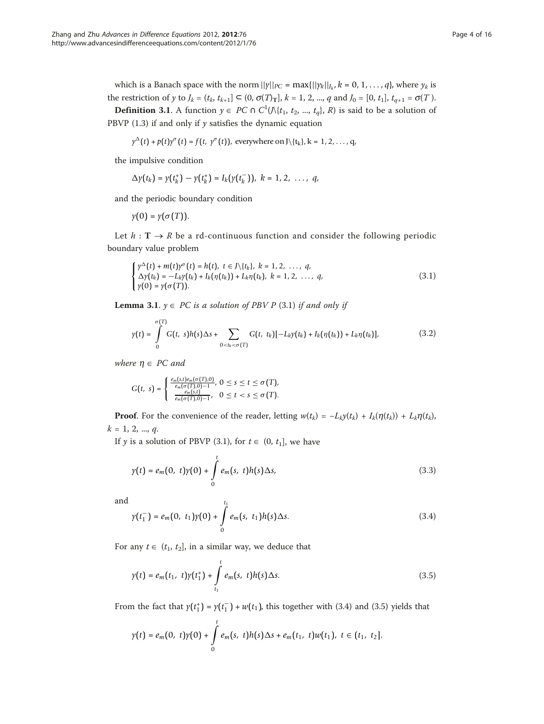which is a Banach space with the norm  $||\gamma||_{PC} = \max\{||\gamma_k||_{J_k}, k = 0, 1, ..., q\}$ , where  $\gamma_k$  is the restriction of y to  $J_k = (t_k, t_{k+1}] \subset (0, \sigma(T)_T]$ ,  $k = 1, 2, ..., q$  and  $J_0 = [0, t_1]$ ,  $t_{q+1} = \sigma(T)$ .

**Definition 3.1**. A function  $y \in PC \cap C^1(\Lambda\{t_1, t_2, ..., t_q\}, R)$  is said to be a solution of PBVP  $(1.3)$  if and only if y satisfies the dynamic equation

$$
\gamma^{\Delta}(t) + p(t)\gamma^{\sigma}(t) = f(t, \ \gamma^{\sigma}(t)), \ \text{everywhere on } J \setminus \{t_k\}, k = 1, 2, \ldots, q,
$$

the impulsive condition

$$
\Delta y(t_k) = y(t_k^+) - y(t_k^+) = I_k(y(t_k^-)), \ k = 1, 2, \ \ldots, \ q,
$$

and the periodic boundary condition

 $y(0) = y(\sigma(T)).$ 

Let  $h: \mathbf{T} \to \mathbf{R}$  be a rd-continuous function and consider the following periodic boundary value problem

$$
\begin{cases}\n\gamma^{\Delta}(t) + m(t)\gamma^{\sigma}(t) = h(t), \ t \in J \setminus \{t_k\}, \ k = 1, 2, \ldots, q, \\
\Delta \gamma(t_k) = -L_k \gamma(t_k) + I_k(\eta(t_k)) + L_k \eta(t_k), \ k = 1, 2, \ldots, q, \\
\gamma(0) = \gamma(\sigma(T)).\n\end{cases} \tag{3.1}
$$

**Lemma 3.1.**  $y \in PC$  is a solution of PBV P (3.1) if and only if

$$
\gamma(t) = \int_{0}^{\sigma(T)} G(t, s)h(s) \Delta s + \sum_{0 < t_k < \sigma(T)} G(t, t_k) [-L_k \gamma(t_k) + I_k (\eta(t_k)) + L_k \eta(t_k)], \qquad (3.2)
$$

where  $\eta \in PC$  and

$$
G(t, s) = \begin{cases} \frac{e_m(s,t)e_m(\sigma(T).0)}{e_m(\sigma(T).0)-1}, 0 \le s \le t \le \sigma(T), \\ \frac{e_m(s,t)}{e_m(\sigma(T).0)-1}, 0 \le t < s \le \sigma(T). \end{cases}
$$

**Proof.** For the convenience of the reader, letting  $w(t_k) = -L_k y(t_k) + I_k(\eta(t_k)) + L_k \eta(t_k)$ ,  $k = 1, 2, ..., q$ .

If y is a solution of PBVP (3.1), for  $t \in (0, t_1]$ , we have

$$
y(t) = e_m(0, t)y(0) + \int_0^t e_m(s, t)h(s)\Delta s,
$$
\n(3.3)

and

$$
\gamma(t_1^-) = e_m(0, t_1)\gamma(0) + \int_0^{t_1} e_m(s, t_1)h(s)\Delta s.
$$
\n(3.4)

For any  $t \in (t_1, t_2]$ , in a similar way, we deduce that

$$
\gamma(t) = e_m(t_1, t)\gamma(t_1^+) + \int_{t_1}^t e_m(s, t)h(s)\Delta s.
$$
\n(3.5)

From the fact that  $y(t_1^+) = y(t_1^-) + w(t_1)$ , this together with (3.4) and (3.5) yields that

$$
y(t) = e_m(0, t)y(0) + \int_0^t e_m(s, t)h(s)\Delta s + e_m(t_1, t)w(t_1), t \in (t_1, t_2].
$$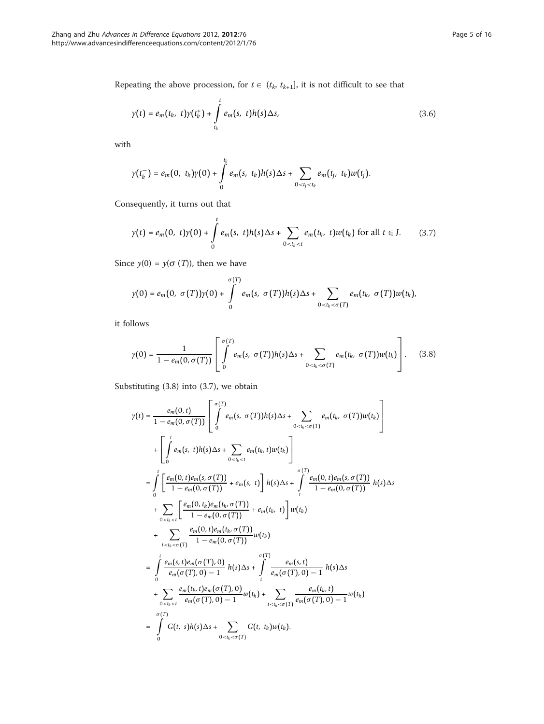Repeating the above procession, for  $t \in (t_k, t_{k+1}]$ , it is not difficult to see that

$$
\gamma(t) = e_m(t_k, t)\gamma(t_k^+) + \int_{t_k}^t e_m(s, t)h(s)\Delta s,
$$
\n(3.6)

with

$$
\gamma(t_k^-) = e_m(0, t_k)\gamma(0) + \int_0^{t_k} e_m(s, t_k)h(s)\Delta s + \sum_{0 < t_j < t_k} e_m(t_j, t_k)w(t_j).
$$

Consequently, it turns out that

$$
y(t) = e_m(0, t)y(0) + \int_0^t e_m(s, t)h(s)\Delta s + \sum_{0 < t_k < t} e_m(t_k, t)w(t_k) \text{ for all } t \in J.
$$
 (3.7)

Since  $y(0) = y(\sigma(T))$ , then we have

$$
\gamma(0)=e_m(0, \sigma(T))\gamma(0)+\int\limits_0^{\sigma(T)}e_m(s, \sigma(T))h(s)\Delta s+\sum_{0
$$

it follows

$$
y(0) = \frac{1}{1 - e_m(0, \sigma(T))} \left[ \int\limits_0^{\sigma(T)} e_m(s, \ \sigma(T)) h(s) \Delta s + \sum\limits_{0 < t_k < \sigma(T)} e_m(t_k, \ \sigma(T)) w(t_k) \right]. \tag{3.8}
$$

Substituting (3.8) into (3.7), we obtain

$$
y(t) = \frac{e_m(0, t)}{1 - e_m(0, \sigma(T))} \left[ \int_{0}^{\sigma(T)} e_m(s, \sigma(T)) h(s) \Delta s + \sum_{0 < t_k < \sigma(T)} e_m(t_k, \sigma(T)) w(t_k) \right]
$$
  
+ 
$$
\left[ \int_{0}^{t} e_m(s, t) h(s) \Delta s + \sum_{0 < t_k < t} e_m(t_k, t) w(t_k) \right]
$$
  
= 
$$
\int_{0}^{t} \left[ \frac{e_m(0, t) e_m(s, \sigma(T))}{1 - e_m(0, \sigma(T))} + e_m(s, t) \right] h(s) \Delta s + \int_{t}^{\sigma(T)} \frac{e_m(0, t) e_m(s, \sigma(T))}{1 - e_m(0, \sigma(T))} h(s) \Delta s
$$
  
+ 
$$
\sum_{0 < t_k < t} \left[ \frac{e_m(0, t) e_m(t_k, \sigma(T))}{1 - e_m(0, \sigma(T))} + e_m(t_k, t) \right] w(t_k)
$$
  
+ 
$$
\sum_{t < t_k < \sigma(T)} \frac{e_m(0, t) e_m(t_k, \sigma(T))}{1 - e_m(0, \sigma(T))} w(t_k)
$$
  
= 
$$
\int_{0}^{t} \frac{e_m(s, t) e_m(\sigma(T), 0)}{e_m(\sigma(T), 0) - 1} h(s) \Delta s + \int_{t}^{\sigma(T)} \frac{e_m(s, t)}{e_m(\sigma(T), 0) - 1} h(s) \Delta s
$$
  
+ 
$$
\sum_{0 < t_k < t} \frac{e_m(t_k, t) e_m(\sigma(T), 0)}{e_m(\sigma(T), 0) - 1} w(t_k) + \sum_{t < t_k < \sigma(T)} \frac{e_m(t_k, t)}{e_m(\sigma(T), 0) - 1} w(t_k)
$$
  
= 
$$
\int_{0}^{\sigma(T)} G(t, s) h(s) \Delta s + \sum_{0 < t_k < \sigma(T)} G(t, t_k) w(t_k).
$$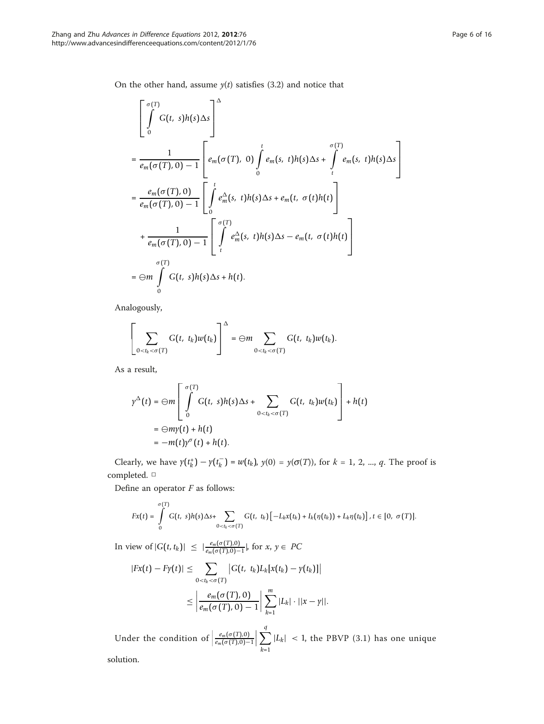On the other hand, assume  $y(t)$  satisfies (3.2) and notice that

$$
\begin{aligned}\n&\left[\int_{0}^{\sigma(T)} G(t, s)h(s)\Delta s\right]^{2} \\
&= \frac{1}{e_{m}(\sigma(T), 0) - 1} \left[e_{m}(\sigma(T), 0)\int_{0}^{t} e_{m}(s, t)h(s)\Delta s + \int_{t}^{\sigma(T)} e_{m}(s, t)h(s)\Delta s\right] \\
&= \frac{e_{m}(\sigma(T), 0)}{e_{m}(\sigma(T), 0) - 1} \left[\int_{0}^{t} e_{m}^{\Delta}(s, t)h(s)\Delta s + e_{m}(t, \sigma(t)h(t)\right] \\
&+ \frac{1}{e_{m}(\sigma(T), 0) - 1} \left[\int_{t}^{\sigma(T)} e_{m}^{\Delta}(s, t)h(s)\Delta s - e_{m}(t, \sigma(t)h(t)\right] \\
&= \Theta m \int_{0}^{\sigma(T)} G(t, s)h(s)\Delta s + h(t).\n\end{aligned}
$$

Analogously,

$$
\left[\sum_{0
$$

As a result,

$$
\gamma^{\Delta}(t) = \bigoplus m \left[ \int_{0}^{\sigma(T)} G(t, s) h(s) \Delta s + \sum_{0 < t_k < \sigma(T)} G(t, t_k) w(t_k) \right] + h(t)
$$
  
=  $\bigoplus m \gamma(t) + h(t)$   
=  $-m(t) \gamma^{\sigma}(t) + h(t).$ 

Clearly, we have  $y(t_k^+) - y(t_k^-) = w(t_k)$ ,  $y(0) = y(\sigma(T))$ , for  $k = 1, 2, ..., q$ . The proof is completed. □

Define an operator  $F$  as follows:

$$
Fx(t)=\int_{0}^{\sigma(T)}G(t,s)h(s)\Delta s+\sum_{0
$$

In view of  $|G(t, t_k)|$  ≤  $|\frac{e_m(\sigma(T),0)}{e_m(\sigma(T),0)-1}|$ , for *x*, *y* ∈ *PC* 

$$
|Fx(t) - Fy(t)| \leq \sum_{0 < t_k < \sigma(T)} |G(t, t_k)L_k[x(t_k) - y(t_k)]|
$$
\n
$$
\leq \left| \frac{e_m(\sigma(T), 0)}{e_m(\sigma(T), 0) - 1} \right| \sum_{k=1}^m |L_k| \cdot ||x - y||.
$$

Under the condition of  $\frac{e_m(\sigma(T),0)}{e_m(\sigma(T),0)-1}$  $\begin{array}{c} \begin{array}{c} \begin{array}{c} \end{array}\\ \begin{array}{c} \end{array} \end{array} \end{array}$  $\sum$ *k*=1  $|L_k|$  < 1, the PBVP (3.1) has one unique

solution.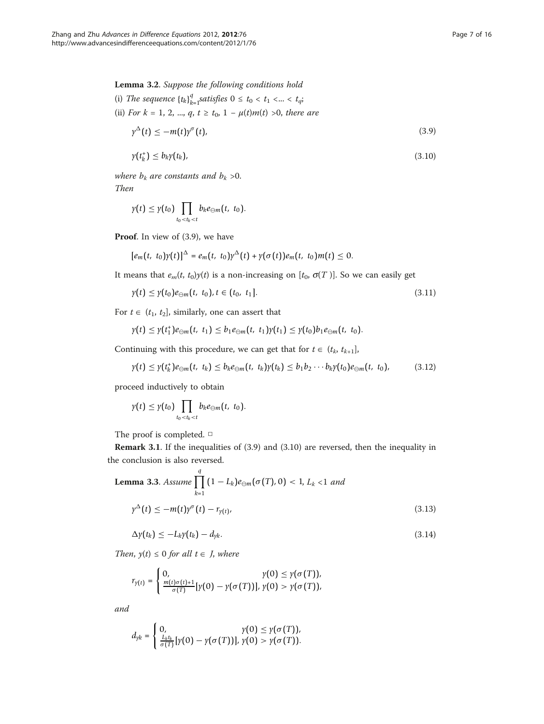Lemma 3.2. Suppose the following conditions hold

- (i) The sequence  ${t_k}_k^q$  ${}^{q}_{k=1}$  satisfies  $0 \le t_0 < t_1 < ... < t_q$ ;
- (ii) For  $k = 1, 2, ..., q, t \ge t_0, 1 \mu(t)m(t) > 0$ , there are

$$
\gamma^{\Delta}(t) \leq -m(t)\gamma^{\sigma}(t),\tag{3.9}
$$

$$
\gamma(t_k^+) \le b_k \gamma(t_k), \tag{3.10}
$$

where  $b_k$  are constants and  $b_k > 0$ . Then

$$
\gamma(t) \leq \gamma(t_0) \prod_{t_0 < t_k < t} b_k e_{\ominus m}(t, t_0).
$$

Proof. In view of (3.9), we have

$$
[e_m(t, t_0)\gamma(t)]^{\Delta} = e_m(t, t_0)\gamma^{\Delta}(t) + \gamma(\sigma(t))e_m(t, t_0)m(t) \leq 0.
$$

It means that  $e_m(t, t_0)$ y(t) is a non-increasing on  $[t_0, \sigma(T)]$ . So we can easily get

$$
\gamma(t) \leq \gamma(t_0) e_{\ominus m}(t, t_0), t \in (t_0, t_1]. \tag{3.11}
$$

For  $t \in (t_1, t_2]$ , similarly, one can assert that

$$
\gamma(t) \leq \gamma(t_1^*)e_{\ominus m}(t, t_1) \leq b_1e_{\ominus m}(t, t_1)\gamma(t_1) \leq \gamma(t_0)b_1e_{\ominus m}(t, t_0).
$$

Continuing with this procedure, we can get that for  $t \in (t_k, t_{k+1}],$ 

$$
\gamma(t) \leq \gamma(t_k^+)e_{\ominus m}(t, t_k) \leq b_k e_{\ominus m}(t, t_k)\gamma(t_k) \leq b_1 b_2 \cdots b_k \gamma(t_0)e_{\ominus m}(t, t_0), \qquad (3.12)
$$

proceed inductively to obtain

$$
\gamma(t) \leq \gamma(t_0) \prod_{t_0 < t_k < t} b_k e_{\ominus m}(t, t_0).
$$

The proof is completed. □

Remark 3.1. If the inequalities of (3.9) and (3.10) are reversed, then the inequality in the conclusion is also reversed.

**Lemma 3.3.** Assume 
$$
\prod_{k=1}^{q} (1 - L_k) e_{\ominus m}(\sigma(T), 0) < 1, L_k < 1 \text{ and}
$$
\n
$$
\gamma^{\Delta}(t) \leq -m(t) \gamma^{\sigma}(t) - r_{\gamma(t)},
$$
\n(3.13)

$$
\Delta y(t_k) \le -L_k y(t_k) - d_{yk}.\tag{3.14}
$$

Then,  $y(t) \leq 0$  for all  $t \in J$ , where

$$
r_{\gamma(t)} = \begin{cases} 0, & \gamma(0) \leq \gamma(\sigma(T)), \\ \frac{m(t)\sigma(t)+1}{\sigma(T)}[\gamma(0)-\gamma(\sigma(T))], & \gamma(0) > \gamma(\sigma(T)), \end{cases}
$$

and

$$
d_{\gamma k} = \begin{cases} 0, & \gamma(0) \leq \gamma(\sigma(T)), \\ \frac{L_k t_k}{\sigma(T)} [\gamma(0) - \gamma(\sigma(T))], & \gamma(0) > \gamma(\sigma(T)). \end{cases}
$$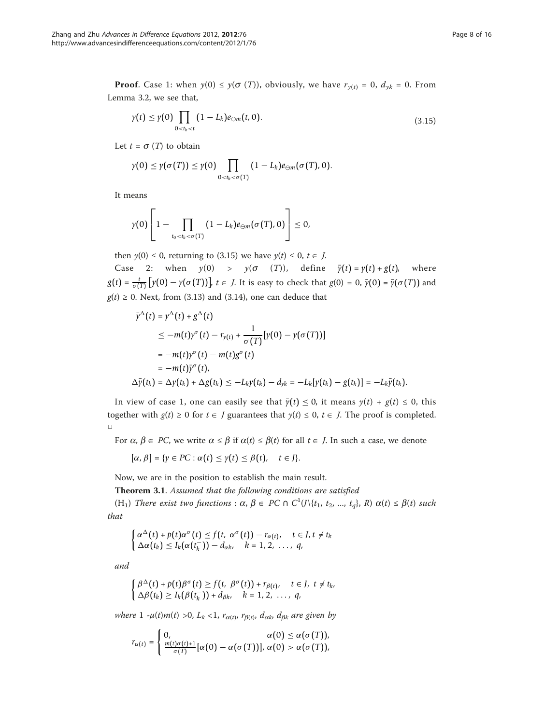**Proof.** Case 1: when  $y(0) \leq y(\sigma(T))$ , obviously, we have  $r_{y(t)} = 0$ ,  $d_{yk} = 0$ . From Lemma 3.2, we see that,

$$
\gamma(t) \leq \gamma(0) \prod_{0 < t_k < t} (1 - L_k) e_{\ominus m}(t, 0). \tag{3.15}
$$

Let  $t = \sigma(T)$  to obtain

$$
\gamma(0) \leq \gamma(\sigma(T)) \leq \gamma(0) \prod_{0 < t_k < \sigma(T)} (1 - L_k) e_{\ominus m}(\sigma(T), 0).
$$

It means

$$
\gamma(0)\left[1-\prod_{t_0
$$

then  $y(0) \le 0$ , returning to (3.15) we have  $y(t) \le 0$ ,  $t \in J$ .

Case 2: when  $y(0)$  >  $y(\sigma(T))$ , define  $\bar{y}(t) = y(t) + g(t)$ , where  $g(t) = \frac{t}{\sigma(T)} [y(0) - y(\sigma(T))]$ ,  $t \in J$ . It is easy to check that  $g(0) = 0$ ,  $\bar{y}(0) = \bar{y}(\sigma(T))$  and  $g(t) \ge 0$ . Next, from (3.13) and (3.14), one can deduce that

$$
\bar{\gamma}^{\Delta}(t) = \gamma^{\Delta}(t) + g^{\Delta}(t)
$$
\n
$$
\leq -m(t)\gamma^{\sigma}(t) - r_{\gamma(t)} + \frac{1}{\sigma(T)}[\gamma(0) - \gamma(\sigma(T))]
$$
\n
$$
= -m(t)\gamma^{\sigma}(t) - m(t)g^{\sigma}(t)
$$
\n
$$
= -m(t)\bar{\gamma}^{\sigma}(t),
$$
\n
$$
\Delta \bar{\gamma}(t_k) = \Delta \gamma(t_k) + \Delta g(t_k) \leq -L_k\gamma(t_k) - d_{\gamma k} = -L_k[\gamma(t_k) - g(t_k)] = -L_k\bar{\gamma}(t_k).
$$

In view of case 1, one can easily see that  $\bar{y}(t) \le 0$ , it means  $y(t) + g(t) \le 0$ , this together with  $g(t) \ge 0$  for  $t \in J$  guarantees that  $y(t) \le 0$ ,  $t \in J$ . The proof is completed. □

For  $\alpha$ ,  $\beta \in PC$ , we write  $\alpha \leq \beta$  if  $\alpha(t) \leq \beta(t)$  for all  $t \in J$ . In such a case, we denote

 $[\alpha, \beta] = \{y \in PC : \alpha(t) \leq y(t) \leq \beta(t), \quad t \in J\}.$ 

Now, we are in the position to establish the main result.

Theorem 3.1. Assumed that the following conditions are satisfied

(H<sub>1</sub>) There exist two functions :  $\alpha$ ,  $\beta \in PC \cap C^1(\mathcal{U}\setminus\{t_1, t_2, ..., t_q\}, R)$   $\alpha(t) \leq \beta(t)$  such that

$$
\begin{cases} \alpha^{\Delta}(t) + p(t)\alpha^{\sigma}(t) \leq f(t, \alpha^{\sigma}(t)) - r_{\alpha(t)}, & t \in J, t \neq t_k \\ \Delta \alpha(t_k) \leq I_k(\alpha(t_k^-)) - d_{\alpha k}, & k = 1, 2, \ldots, q, \end{cases}
$$

and

$$
\begin{cases}\n\beta^{\Delta}(t) + p(t)\beta^{\sigma}(t) \ge f(t, \ \beta^{\sigma}(t)) + r_{\beta(t)}, & t \in J, \ t \ne t_k, \\
\Delta\beta(t_k) \ge I_k(\beta(t_k^-)) + d_{\beta k}, & k = 1, 2, \ \ldots, \ q,\n\end{cases}
$$

where 1 - $\mu(t)m(t) > 0$ ,  $L_k < 1$ ,  $r_{\alpha(t)}$ ,  $r_{\beta(t)}$ ,  $d_{\alpha k}$ ,  $d_{\beta k}$  are given by

$$
r_{\alpha(t)} = \begin{cases} 0, & \alpha(0) \leq \alpha(\sigma(T)), \\ \frac{m(t)\sigma(t)+1}{\sigma(T)} [\alpha(0) - \alpha(\sigma(T))], & \alpha(0) > \alpha(\sigma(T)), \end{cases}
$$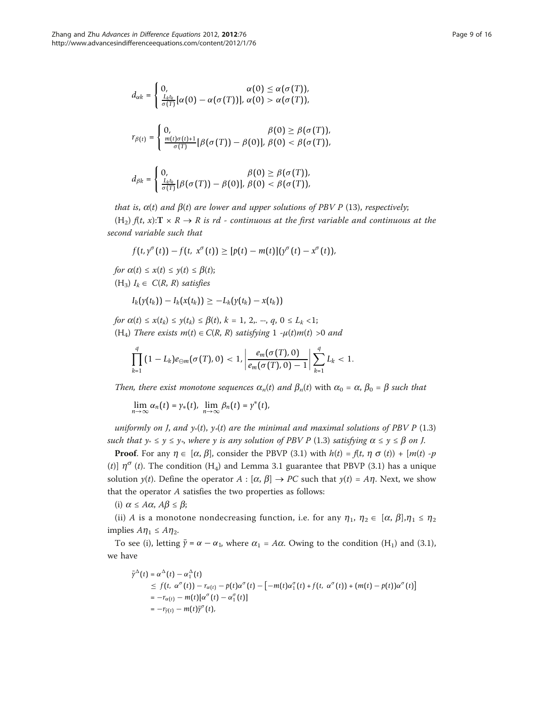$$
d_{\alpha k} = \begin{cases} 0, & \alpha(0) \le \alpha(\sigma(T)), \\ \frac{L_b t_k}{\sigma(T)} [\alpha(0) - \alpha(\sigma(T))], & \alpha(0) > \alpha(\sigma(T)), \end{cases}
$$

$$
r_{\beta(t)} = \begin{cases} 0, & \beta(0) \ge \beta(\sigma(T)), \\ \frac{m(t)\sigma(t)+1}{\sigma(T)} [\beta(\sigma(T)) - \beta(0)], & \beta(0) < \beta(\sigma(T)), \end{cases}
$$

$$
0, \qquad \beta(0) \ge \beta(\sigma(T)),
$$

$$
d_{\beta k} = \begin{cases} 0, & \beta(0) \geq \beta(\sigma(T)), \\ \frac{L_k t_k}{\sigma(T)}[\beta(\sigma(T)) - \beta(0)], & \beta(0) < \beta(\sigma(T)), \end{cases}
$$

that is,  $\alpha(t)$  and  $\beta(t)$  are lower and upper solutions of PBV P (13), respectively;

 $(H_2)$   $ft, x$ :  $T \times R \rightarrow R$  is rd - continuous at the first variable and continuous at the second variable such that

$$
f(t, y^{\sigma}(t)) - f(t, x^{\sigma}(t)) \geq [p(t) - m(t)](y^{\sigma}(t) - x^{\sigma}(t)),
$$

for  $\alpha(t) \leq x(t) \leq y(t) \leq \beta(t);$  $(H_3)$   $I_k \in C(R, R)$  satisfies

$$
I_k(\gamma(t_k))-I_k(x(t_k))\geq -L_k(\gamma(t_k)-x(t_k))
$$

for  $\alpha(t) \leq x(t_k) \leq y(t_k) \leq \beta(t)$ ,  $k = 1, 2, ..., q, 0 \leq L_k < 1$ ; (H<sub>4</sub>) There exists  $m(t) \in C(R, R)$  satisfying 1 - $\mu(t)m(t) > 0$  and

$$
\prod_{k=1}^q (1-L_k)e_{\ominus m}(\sigma(T),0) < 1, \left|\frac{e_m(\sigma(T),0)}{e_m(\sigma(T),0)-1}\right| \sum_{k=1}^q L_k < 1.
$$

Then, there exist monotone sequences  $\alpha_n(t)$  and  $\beta_n(t)$  with  $\alpha_0 = \alpha$ ,  $\beta_0 = \beta$  such that

 $\lim_{n\to\infty} \alpha_n(t) = \gamma_*(t), \ \lim_{n\to\infty} \beta_n(t) = \gamma^*(t),$ 

uniformly on J, and  $y_*(t)$ ,  $y_*(t)$  are the minimal and maximal solutions of PBV P (1.3) such that  $y_* \le y \le y_*$ , where y is any solution of PBV P (1.3) satisfying  $\alpha \le y \le \beta$  on J.

**Proof.** For any  $\eta \in [\alpha, \beta]$ , consider the PBVP (3.1) with  $h(t) = f(t, \eta \sigma(t)) + [m(t) - p(t)]$ (t)]  $\eta^{\sigma}$  (t). The condition (H<sub>4</sub>) and Lemma 3.1 guarantee that PBVP (3.1) has a unique solution  $y(t)$ . Define the operator  $A : [\alpha, \beta] \to PC$  such that  $y(t) = A\eta$ . Next, we show that the operator A satisfies the two properties as follows:

(i)  $\alpha \leq A\alpha$ ,  $A\beta \leq \beta$ ;

(ii) A is a monotone nondecreasing function, i.e. for any  $\eta_1$ ,  $\eta_2 \in [\alpha, \beta], \eta_1 \leq \eta_2$ implies  $A\eta_1 \leq A\eta_2$ .

To see (i), letting  $\bar{\gamma} = \alpha - \alpha_1$ , where  $\alpha_1 = A\alpha$ . Owing to the condition (H<sub>1</sub>) and (3.1), we have

$$
\bar{\gamma}^{\Delta}(t) = \alpha^{\Delta}(t) - \alpha^{\Delta}_{1}(t)
$$
\n
$$
\leq f(t, \alpha^{\sigma}(t)) - r_{\alpha(t)} - p(t)\alpha^{\sigma}(t) - [-m(t)\alpha^{\sigma}_{1}(t) + f(t, \alpha^{\sigma}(t)) + (m(t) - p(t))\alpha^{\sigma}(t)]
$$
\n
$$
= -r_{\alpha(t)} - m(t)[\alpha^{\sigma}(t) - \alpha^{\sigma}_{1}(t)]
$$
\n
$$
= -r_{\bar{\gamma}(t)} - m(t)\bar{\gamma}^{\sigma}(t),
$$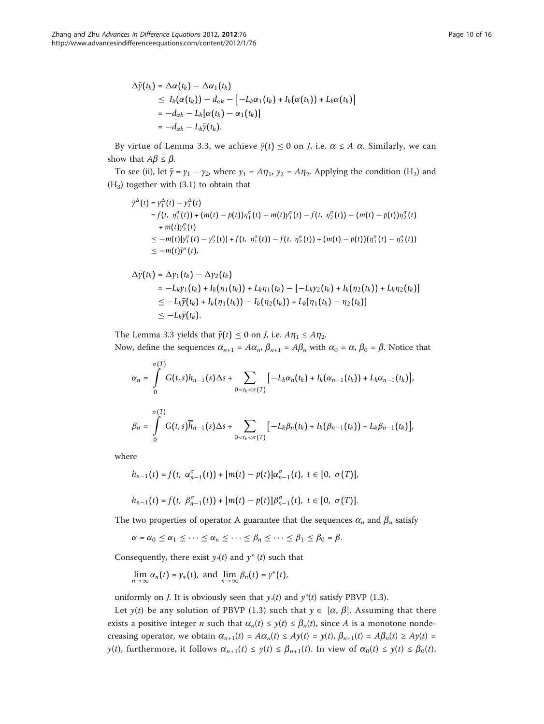$$
\Delta \bar{\gamma}(t_k) = \Delta \alpha(t_k) - \Delta \alpha_1(t_k) \n\leq I_k(\alpha(t_k)) - d_{\alpha k} - [-L_k \alpha_1(t_k) + I_k(\alpha(t_k)) + L_k \alpha(t_k)] \n= -d_{\alpha k} - L_k[\alpha(t_k) - \alpha_1(t_k)] \n= -d_{\alpha k} - L_k \bar{\gamma}(t_k).
$$

By virtue of Lemma 3.3, we achieve  $\bar{y}(t) \le 0$  on *J*, i.e.  $\alpha \le A$   $\alpha$ . Similarly, we can show that  $A\beta \leq \beta$ .

To see (ii), let  $\bar{y} = y_1 - y_2$ , where  $y_1 = A\eta_1$ ,  $y_2 = A\eta_2$ . Applying the condition (H<sub>2</sub>) and  $(H_3)$  together with  $(3.1)$  to obtain that

$$
\bar{\gamma}^{\Delta}(t) = \gamma_1^{\Delta}(t) - \gamma_2^{\Delta}(t)
$$
\n
$$
= f(t, \eta_1^{\sigma}(t)) + (m(t) - p(t))\eta_1^{\sigma}(t) - m(t)\gamma_1^{\sigma}(t) - f(t, \eta_2^{\sigma}(t)) - (m(t) - p(t))\eta_2^{\sigma}(t)
$$
\n
$$
+ m(t)\gamma_2^{\sigma}(t)
$$
\n
$$
\leq -m(t)[\gamma_1^{\sigma}(t) - \gamma_2^{\sigma}(t)] + f(t, \eta_1^{\sigma}(t)) - f(t, \eta_2^{\sigma}(t)) + (m(t) - p(t))(\eta_1^{\sigma}(t) - \eta_2^{\sigma}(t))
$$
\n
$$
\leq -m(t)\bar{\gamma}^{\sigma}(t),
$$

$$
\Delta \bar{\gamma}(t_k) = \Delta \gamma_1(t_k) - \Delta \gamma_2(t_k) \n= -L_k \gamma_1(t_k) + I_k(\eta_1(t_k)) + L_k \eta_1(t_k) - [-L_k \gamma_2(t_k) + I_k(\eta_2(t_k)) + L_k \eta_2(t_k)] \n\leq -L_k \bar{\gamma}(t_k) + I_k(\eta_1(t_k)) - I_k(\eta_2(t_k)) + L_k[\eta_1(t_k) - \eta_2(t_k)] \n\leq -L_k \bar{\gamma}(t_k).
$$

The Lemma 3.3 yields that  $\bar{y}(t) \le 0$  on *J*, i.e.  $A\eta_1 \le A\eta_2$ . Now, define the sequences  $\alpha_{n+1} = A\alpha_n$ ,  $\beta_{n+1} = A\beta_n$  with  $\alpha_0 = \alpha$ ,  $\beta_0 = \beta$ . Notice that

$$
\alpha_n = \int\limits_0^{\sigma(T)} G(t,s)h_{n-1}(s)\Delta s + \sum\limits_{0  

$$
\beta_n = \int\limits_0^{\sigma(T)} G(t,s)\overline{h}_{n-1}(s)\Delta s + \sum\limits_{0
$$
$$

where

$$
h_{n-1}(t) = f(t, \alpha_{n-1}^{\sigma}(t)) + [m(t) - p(t)]\alpha_{n-1}^{\sigma}(t), t \in [0, \sigma(T)],
$$
  

$$
\bar{h}_{n-1}(t) = f(t, \beta_{n-1}^{\sigma}(t)) + [m(t) - p(t)]\beta_{n-1}^{\sigma}(t), t \in [0, \sigma(T)].
$$

The two properties of operator A guarantee that the sequences  $\alpha_n$  and  $\beta_n$  satisfy

$$
\alpha = \alpha_0 \leq \alpha_1 \leq \cdots \leq \alpha_n \leq \cdots \leq \beta_n \leq \cdots \leq \beta_1 \leq \beta_0 = \beta.
$$

Consequently, there exist  $y*(t)$  and  $y*(t)$  such that

$$
\lim_{n\to\infty}\alpha_n(t)=\gamma_*(t),\text{ and }\lim_{n\to\infty}\beta_n(t)=\gamma^*(t),
$$

uniformly on *J*. It is obviously seen that  $\gamma*(t)$  and  $\gamma*(t)$  satisfy PBVP (1.3).

Let  $y(t)$  be any solution of PBVP (1.3) such that  $y \in [\alpha, \beta]$ . Assuming that there exists a positive integer *n* such that  $\alpha_n(t) \leq y(t) \leq \beta_n(t)$ , since *A* is a monotone nondecreasing operator, we obtain  $\alpha_{n+1}(t) = A\alpha_n(t) \le Ay(t) = y(t)$ ,  $\beta_{n+1}(t) = A\beta_n(t) \ge Ay(t)$  $y(t)$ , furthermore, it follows  $\alpha_{n+1}(t) \leq y(t) \leq \beta_{n+1}(t)$ . In view of  $\alpha_0(t) \leq y(t) \leq \beta_0(t)$ ,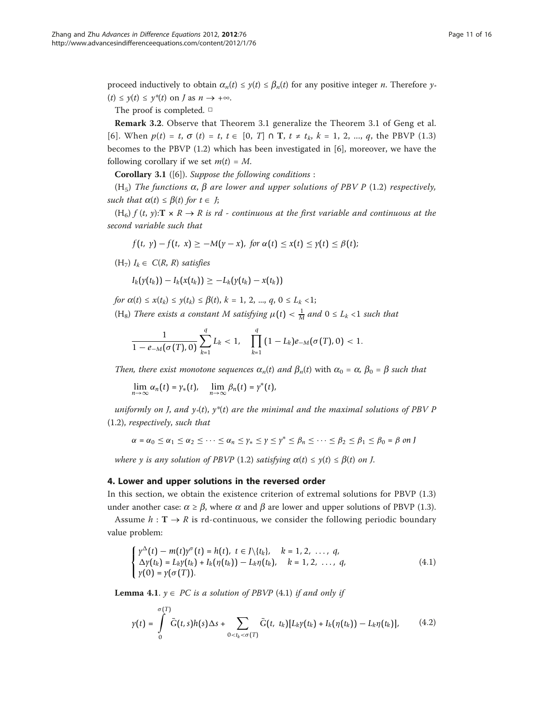proceed inductively to obtain  $\alpha_n(t) \leq \gamma(t) \leq \beta_n(t)$  for any positive integer *n*. Therefore  $\gamma$ .  $(t) \leq \gamma(t) \leq \gamma^*(t)$  on *J* as  $n \to +\infty$ .

The proof is completed. □

Remark 3.2. Observe that Theorem 3.1 generalize the Theorem 3.1 of Geng et al. [[6](#page-15-0)]. When  $p(t) = t$ ,  $\sigma(t) = t$ ,  $t \in [0, T] \cap T$ ,  $t \neq t_k$ ,  $k = 1, 2, ..., q$ , the PBVP (1.3) becomes to the PBVP (1.2) which has been investigated in [[6\]](#page-15-0), moreover, we have the following corollary if we set  $m(t) = M$ .

Corollary 3.1 ([[6\]](#page-15-0)). Suppose the following conditions :

(H<sub>5</sub>) The functions  $\alpha$ ,  $\beta$  are lower and upper solutions of PBV P (1.2) respectively, such that  $\alpha(t) \leq \beta(t)$  for  $t \in J$ ;

 $(H<sub>6</sub>)$  f  $(t, y)$ :  $T \times R \rightarrow R$  is rd - continuous at the first variable and continuous at the second variable such that

$$
f(t, \gamma) - f(t, \alpha) \geq -M(\gamma - \alpha), \text{ for } \alpha(t) \leq x(t) \leq \gamma(t) \leq \beta(t);
$$

 $(H_7) I_k \in C(R, R)$  satisfies

$$
I_k(\gamma(t_k))-I_k(x(t_k))\geq -L_k(\gamma(t_k)-x(t_k))
$$

for  $\alpha(t) \leq x(t_k) \leq y(t_k) \leq \beta(t)$ ,  $k = 1, 2, ..., q, 0 \leq L_k < 1$ ;

(H<sub>8</sub>) There exists a constant M satisfying  $\mu(t) < \frac{1}{M}$  and  $0 \leq L_k < 1$  such that

$$
\frac{1}{1-e_{-M}(\sigma(T),0)}\sum_{k=1}^q L_k < 1, \quad \prod_{k=1}^q (1-L_k)e_{-M}(\sigma(T),0) < 1.
$$

Then, there exist monotone sequences  $\alpha_n(t)$  and  $\beta_n(t)$  with  $\alpha_0 = \alpha$ ,  $\beta_0 = \beta$  such that

$$
\lim_{n\to\infty}\alpha_n(t)=\gamma_*(t),\quad \lim_{n\to\infty}\beta_n(t)=\gamma^*(t),
$$

uniformly on J, and  $y*(t)$ ,  $y*(t)$  are the minimal and the maximal solutions of PBV P (1.2), respectively, such that

 $\alpha = \alpha_0 \leq \alpha_1 \leq \alpha_2 \leq \cdots \leq \alpha_n \leq \gamma_* \leq \gamma \leq \gamma^* \leq \beta_n \leq \cdots \leq \beta_2 \leq \beta_1 \leq \beta_0 = \beta$  on *J* 

where y is any solution of PBVP (1.2) satisfying  $\alpha(t) \leq \gamma(t) \leq \beta(t)$  on J.

## 4. Lower and upper solutions in the reversed order

In this section, we obtain the existence criterion of extremal solutions for PBVP (1.3) under another case:  $\alpha \ge \beta$ , where  $\alpha$  and  $\beta$  are lower and upper solutions of PBVP (1.3).

Assume  $h : \mathbf{T} \to \mathbb{R}$  is rd-continuous, we consider the following periodic boundary value problem:

$$
\begin{cases}\n\gamma^{\Delta}(t) - m(t)\gamma^{\sigma}(t) = h(t), \ t \in J \setminus \{t_k\}, & k = 1, 2, \ldots, q, \\
\Delta \gamma(t_k) = L_k \gamma(t_k) + I_k(\eta(t_k)) - L_k \eta(t_k), & k = 1, 2, \ldots, q, \\
\gamma(0) = \gamma(\sigma(T)). & \end{cases} \tag{4.1}
$$

**Lemma 4.1.**  $y \in PC$  is a solution of PBVP (4.1) if and only if

$$
\gamma(t) = \int_{0}^{\sigma(T)} \bar{G}(t,s)h(s)\Delta s + \sum_{0
$$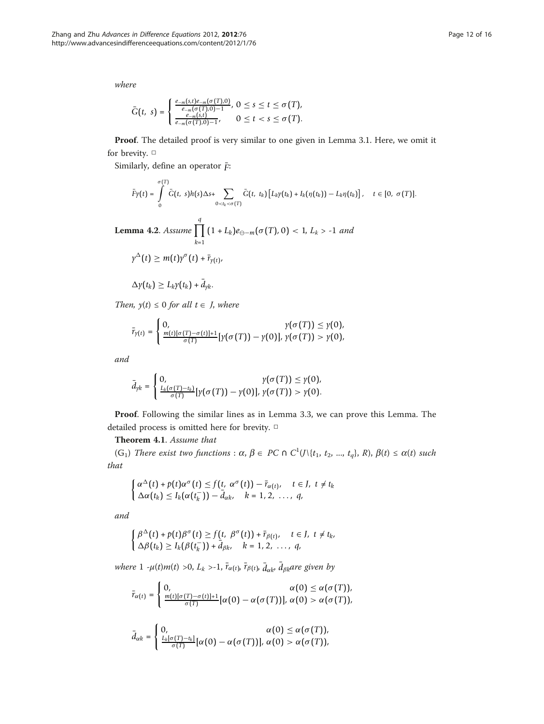where

$$
\bar{G}(t, s) = \begin{cases} \frac{e_{-m}(s,t)e_{-m}(\sigma(T),0)}{e_{-m}(\sigma(T),0)-1}, 0 \leq s \leq t \leq \sigma(T), \\ \frac{e_{-m}(s,t)}{e_{-m}(\sigma(T),0)-1}, 0 \leq t < s \leq \sigma(T). \end{cases}
$$

Proof. The detailed proof is very similar to one given in Lemma 3.1. Here, we omit it for brevity. □

Similarly, define an operator  $\bar{F}$ :

$$
\bar{F}\gamma(t)=\int\limits_{0}^{\sigma(T)}\bar{G}(t,s)h(s)\Delta s+\sum\limits_{0
$$

**Lemma 4.2.** Assume 
$$
\prod_{k=1}^{q} (1 + L_k) e_{\Theta - m} (\sigma(T), 0) < 1, L_k > -1
$$
 and

$$
\gamma^{\Delta}(t) \geq m(t)\gamma^{\sigma}(t) + \bar{r}_{\gamma(t)},
$$

$$
\Delta \gamma(t_k) \geq L_k \gamma(t_k) + \bar{d}_{\gamma k}.
$$

Then,  $y(t) \leq 0$  for all  $t \in J$ , where

$$
\bar{r}_{\gamma(t)} = \begin{cases} 0, & \gamma(\sigma(T)) \leq \gamma(0), \\ \frac{m(t)[\sigma(T) - \sigma(t)] + 1}{\sigma(T)} [\gamma(\sigma(T)) - \gamma(0)], & \gamma(\sigma(T)) > \gamma(0), \end{cases}
$$

and

$$
\bar{d}_{\gamma k} = \begin{cases} 0, & \gamma(\sigma(T)) \leq \gamma(0), \\ \frac{L_k(\sigma(T) - t_k)}{\sigma(T)} [\gamma(\sigma(T)) - \gamma(0)], & \gamma(\sigma(T)) > \gamma(0). \end{cases}
$$

Proof. Following the similar lines as in Lemma 3.3, we can prove this Lemma. The detailed process is omitted here for brevity. □

Theorem 4.1. Assume that

(G<sub>1</sub>) There exist two functions :  $\alpha$ ,  $\beta \in PC \cap C^1(\mathcal{N}{t_1, t_2, ..., t_q}, R)$ ,  $\beta(t) \leq \alpha(t)$  such that

$$
\begin{cases} \alpha^{\Delta}(t) + p(t)\alpha^{\sigma}(t) \leq f(t, \alpha^{\sigma}(t)) - \bar{r}_{\alpha(t)}, \quad t \in J, \ t \neq t_k \\ \Delta \alpha(t_k) \leq I_k(\alpha(t_k^-)) - \bar{d}_{\alpha k}, \quad k = 1, 2, \ldots, q, \end{cases}
$$

and

$$
\begin{cases}\n\beta^{\Delta}(t) + p(t)\beta^{\sigma}(t) \ge f(t, \ \beta^{\sigma}(t)) + \bar{r}_{\beta(t)}, & t \in J, \ t \neq t_k, \\
\Delta\beta(t_k) \ge I_k(\beta(t_k^-)) + \bar{d}_{\beta k}, & k = 1, 2, \ \ldots, \ q,\n\end{cases}
$$

where  $1 - \mu(t)m(t) > 0$ ,  $L_k > -1$ ,  $\bar{r}_{\alpha(t)}$ ,  $\bar{r}_{\beta(t)}$ ,  $\bar{d}_{\alpha k}$ ,  $\bar{d}_{\beta k}$ are given by

$$
\bar{r}_{\alpha(t)} = \begin{cases} 0, & \alpha(0) \leq \alpha(\sigma(T)), \\ \frac{m(t)[\sigma(T) - \sigma(t)] + 1}{\sigma(T)} [\alpha(0) - \alpha(\sigma(T))], & \alpha(0) > \alpha(\sigma(T)), \end{cases}
$$

$$
\bar{d}_{\alpha k} = \begin{cases} 0, & \alpha(0) \leq \alpha(\sigma(T)), \\ \frac{L_k[\sigma(T) - t_k]}{\sigma(T)}[\alpha(0) - \alpha(\sigma(T))], & \alpha(0) > \alpha(\sigma(T)), \end{cases}
$$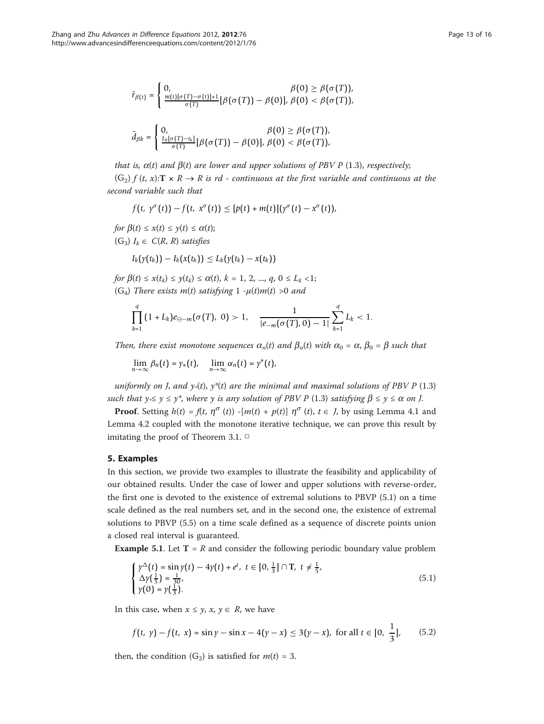$$
\bar{r}_{\beta(t)} = \begin{cases} 0, & \beta(0) \geq \beta(\sigma(T)), \\ \frac{m(t)[\sigma(T) - \sigma(t)] + 1}{\sigma(T)} [\beta(\sigma(T)) - \beta(0)], & \beta(0) < \beta(\sigma(T)), \end{cases}
$$

$$
\bar{d}_{\beta k} = \begin{cases} 0, & \beta(0) \geq \beta(\sigma(T)), \\ \frac{L_k[\sigma(T)-t_k]}{\sigma(T)} [\beta(\sigma(T)) - \beta(0)], & \beta(0) < \beta(\sigma(T)), \end{cases}
$$

that is,  $\alpha(t)$  and  $\beta(t)$  are lower and upper solutions of PBV P (1.3), respectively;  $(G_2)$  f  $(t, x):$   $\mathbb{R} \times \mathbb{R} \to \mathbb{R}$  is rd - continuous at the first variable and continuous at the second variable such that

$$
f(t, y^{\sigma}(t)) - f(t, x^{\sigma}(t)) \leq [p(t) + m(t)](y^{\sigma}(t) - x^{\sigma}(t)),
$$

for  $\beta(t) \leq x(t) \leq y(t) \leq \alpha(t)$ ; (G<sub>3</sub>)  $I_k \in C(R, R)$  satisfies

$$
I_k(\gamma(t_k))-I_k(x(t_k))\leq L_k(\gamma(t_k)-x(t_k))
$$

for  $\beta(t) \leq x(t_k) \leq y(t_k) \leq \alpha(t)$ ,  $k = 1, 2, ..., q, 0 \leq L_k < 1$ ; (G<sub>4</sub>) There exists m(t) satisfying  $1 - \mu(t)m(t) > 0$  and

$$
\prod_{k=1}^q (1+L_k)e_{\ominus-m}(\sigma(T), 0) > 1, \quad \frac{1}{|e_{-m}(\sigma(T), 0) - 1|} \sum_{k=1}^q L_k < 1.
$$

Then, there exist monotone sequences  $\alpha_n(t)$  and  $\beta_n(t)$  with  $\alpha_0 = \alpha$ ,  $\beta_0 = \beta$  such that

$$
\lim_{n\to\infty}\beta_n(t)=\gamma_*(t),\quad \lim_{n\to\infty}\alpha_n(t)=\gamma^*(t),
$$

uniformly on J, and  $y*(t)$ ,  $y*(t)$  are the minimal and maximal solutions of PBV P (1.3) such that  $y \le y \le y^*$ , where y is any solution of PBV P (1.3) satisfying  $\beta \le y \le \alpha$  on J.

**Proof.** Setting  $h(t) = f(t, \eta^{\sigma}(t))$  -[ $m(t) + p(t)$ ]  $\eta^{\sigma}(t)$ ,  $t \in J$ , by using Lemma 4.1 and Lemma 4.2 coupled with the monotone iterative technique, we can prove this result by imitating the proof of Theorem 3.1.  $\Box$ 

# 5. Examples

In this section, we provide two examples to illustrate the feasibility and applicability of our obtained results. Under the case of lower and upper solutions with reverse-order, the first one is devoted to the existence of extremal solutions to PBVP (5.1) on a time scale defined as the real numbers set, and in the second one, the existence of extremal solutions to PBVP (5.5) on a time scale defined as a sequence of discrete points union a closed real interval is guaranteed.

**Example 5.1.** Let  $T = R$  and consider the following periodic boundary value problem

$$
\begin{cases} \gamma^{\Delta}(t) = \sin \gamma(t) - 4\gamma(t) + e^{t}, \ t \in [0, \frac{1}{3}] \cap T, \ t \neq \frac{1}{5}, \\ \Delta \gamma(\frac{1}{5}) = \frac{1}{30}, \\ \gamma(0) = \gamma(\frac{1}{3}). \end{cases}
$$
(5.1)

In this case, when  $x \leq y$ ,  $x, y \in R$ , we have

$$
f(t, \gamma) - f(t, x) = \sin \gamma - \sin x - 4(\gamma - x) \le 3(\gamma - x), \text{ for all } t \in [0, \frac{1}{3}], \qquad (5.2)
$$

then, the condition  $(G_2)$  is satisfied for  $m(t) = 3$ .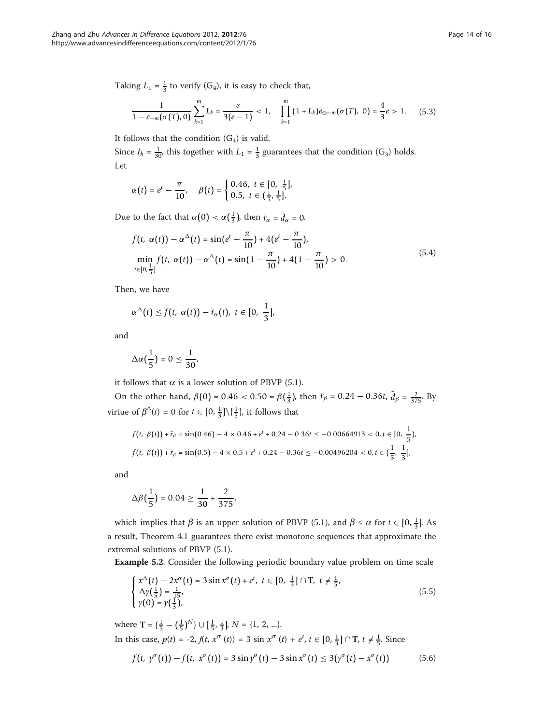Taking  $L_1 = \frac{1}{3}$  to verify (G<sub>4</sub>), it is easy to check that,

$$
\frac{1}{1-e_{-m}(\sigma(T),0)}\sum_{k=1}^{m}L_k=\frac{e}{3(e-1)}<1,\quad \prod_{k=1}^{m}(1+L_k)e_{\ominus-m}(\sigma(T),0)=\frac{4}{3}e>1. \quad (5.3)
$$

It follows that the condition  $(G_4)$  is valid.

Since  $I_k = \frac{1}{30}$ , this together with  $L_1 = \frac{1}{3}$  guarantees that the condition (G<sub>3</sub>) holds. Let

$$
\alpha(t) = e^t - \frac{\pi}{10}, \quad \beta(t) = \begin{cases} 0.46, \ t \in [0, \ \frac{1}{5}], \\ 0.5, \ t \in (\frac{1}{5}, \frac{1}{3}]. \end{cases}
$$

Due to the fact that  $\alpha(0) < \alpha(\frac{1}{3})$ , then  $\bar{r}_{\alpha} = \bar{d}_{\alpha} = 0$ .

$$
f(t, \alpha(t)) - \alpha^{\Delta}(t) = \sin(e^t - \frac{\pi}{10}) + 4(e^t - \frac{\pi}{10}),
$$
  
\n
$$
\min_{t \in [0, \frac{1}{3}]} f(t, \alpha(t)) - \alpha^{\Delta}(t) = \sin(1 - \frac{\pi}{10}) + 4(1 - \frac{\pi}{10}) > 0.
$$
\n(5.4)

Then, we have

$$
\alpha^{\Delta}(t) \leq f(t, \alpha(t)) - \bar{r}_{\alpha}(t), t \in [0, \frac{1}{3}],
$$

and

$$
\Delta \alpha \left( \frac{1}{5} \right) = 0 \le \frac{1}{30},
$$

it follows that  $\alpha$  is a lower solution of PBVP (5.1).

On the other hand,  $β(0) = 0.46 < 0.50 = β(\frac{1}{3})$ , then  $\bar{r}_β = 0.24 - 0.36t$ ,  $\bar{d}_β = \frac{2}{375}$ . By virtue of  $\beta^{\Delta}(t) = 0$  for  $t \in [0, \frac{1}{3}] \setminus {\frac{1}{5}}$ , it follows that

$$
f(t, \beta(t)) + \bar{r}_{\beta} = \sin(0.46) - 4 \times 0.46 + e^{t} + 0.24 - 0.36t \le -0.00664913 < 0, t \in [0, \frac{1}{5}),
$$
\n
$$
f(t, \beta(t)) + \bar{r}_{\beta} = \sin(0.5) - 4 \times 0.5 + e^{t} + 0.24 - 0.36t \le -0.00496204 < 0, t \in (\frac{1}{5}, \frac{1}{3}],
$$

and

$$
\Delta \beta \left(\frac{1}{5}\right) = 0.04 \ge \frac{1}{30} + \frac{2}{375},
$$

which implies that  $\beta$  is an upper solution of PBVP (5.1), and  $\beta \le \alpha$  for  $t \in [0, \frac{1}{3}]$ . As a result, Theorem 4.1 guarantees there exist monotone sequences that approximate the extremal solutions of PBVP (5.1).

Example 5.2. Consider the following periodic boundary value problem on time scale

$$
\begin{cases} x^{\Delta}(t) - 2x^{\sigma}(t) = 3\sin x^{\sigma}(t) + e^{t}, \ t \in [0, \ \frac{1}{3}] \cap T, \ t \neq \frac{1}{5}, \\ \Delta y(\frac{1}{5}) = \frac{1}{15}, \\ y(0) = y(\frac{1}{3}), \end{cases}
$$
(5.5)

where **T** = { $\frac{1}{5}$  –  $(\frac{1}{5})^N$ }  $\cup$  [ $\frac{1}{5}$ ,  $\frac{1}{3}$ ], *N* = {1, 2, ...}. In this case,  $p(t) = -2$ ,  $f(t, x^{\sigma}(t)) = 3 \sin x^{\sigma}(t) + e^{t}, t \in [0, \frac{1}{3}] \cap T$ ,  $t \neq \frac{1}{5}$ . Since  $f(t, y^{\sigma}(t)) - f(t, x^{\sigma}(t)) = 3 \sin y^{\sigma}(t) - 3 \sin x^{\sigma}(t) \le 3(y^{\sigma}(t) - x^{\sigma}(t))$  (5.6)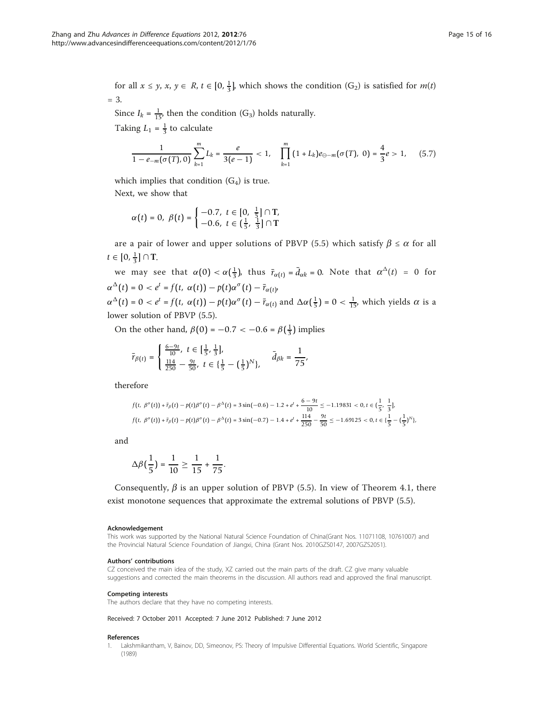<span id="page-14-0"></span>for all  $x \le y$ ,  $x, y \in R$ ,  $t \in [0, \frac{1}{3}]$ , which shows the condition  $(G_2)$  is satisfied for  $m(t)$  $=$  3.

Since  $I_k = \frac{1}{15}$ , then the condition (G<sub>3</sub>) holds naturally. Taking  $L_1 = \frac{1}{3}$  to calculate

$$
\frac{1}{1-e_{-m}(\sigma(T),0)}\sum_{k=1}^{m}L_k=\frac{e}{3(e-1)}<1,\quad \prod_{k=1}^{m}(1+L_k)e_{\ominus-m}(\sigma(T), 0)=\frac{4}{3}e>1, \quad (5.7)
$$

which implies that condition  $(G_4)$  is true. Next, we show that

$$
\alpha(t) = 0, \ \beta(t) = \begin{cases} -0.7, \ t \in [0, \ \frac{1}{5}] \cap T, \\ -0.6, \ t \in (\frac{1}{5}, \ \frac{1}{3}] \cap T \end{cases}
$$

are a pair of lower and upper solutions of PBVP (5.5) which satisfy  $\beta \le \alpha$  for all  $t \in [0, \frac{1}{3}]$  ∩ **T**.

we may see that  $\alpha(0) < \alpha(\frac{1}{3})$ , thus  $\bar{r}_{\alpha(t)} = \bar{d}_{\alpha k} = 0$ . Note that  $\alpha^{\Delta}(t) = 0$  for  $\alpha^{\Delta}(t) = 0 < e^t = f(t, \alpha(t)) - p(t)\alpha^{\sigma}(t) - \bar{r}_{\alpha(t)},$  $\alpha^{\Delta}(t) = 0 < e^{t} = f(t, \alpha(t)) - p(t)\alpha^{\sigma}(t) - \bar{r}_{\alpha(t)}$  and  $\Delta\alpha(\frac{1}{5}) = 0 < \frac{1}{15}$ , which yields  $\alpha$  is a

lower solution of PBVP (5.5).

On the other hand,  $\beta(0) = -0.7 < -0.6 = \beta(\frac{1}{3})$  implies

$$
\bar{r}_{\beta(t)} = \begin{cases} \frac{6-9t}{10}, \ t \in [\frac{1}{5},\frac{1}{3}], \\ \frac{114}{250} - \frac{9t}{50}, \ t \in \{\frac{1}{5} - (\frac{1}{5})^N\}, \end{cases} \quad \bar{d}_{\beta k} = \frac{1}{75},
$$

therefore

$$
f(t, \beta^{\sigma}(t)) + \bar{r}_{\beta}(t) - p(t)\beta^{\sigma}(t) - \beta^{\Delta}(t) = 3\sin(-0.6) - 1.2 + e^{t} + \frac{6 - 9t}{10} \le -1.19831 < 0, t \in \left(\frac{1}{5}, \frac{1}{3}\right],
$$
  

$$
f(t, \beta^{\sigma}(t)) + \bar{r}_{\beta}(t) - p(t)\beta^{\sigma}(t) - \beta^{\Delta}(t) = 3\sin(-0.7) - 1.4 + e^{t} + \frac{114}{250} - \frac{9t}{50} \le -1.69125 < 0, t \in \left(\frac{1}{5} - \left(\frac{1}{5}\right)^{N}\right],
$$

and

$$
\Delta \beta \left( \frac{1}{5} \right) = \frac{1}{10} \ge \frac{1}{15} + \frac{1}{75}.
$$

Consequently,  $\beta$  is an upper solution of PBVP (5.5). In view of Theorem 4.1, there exist monotone sequences that approximate the extremal solutions of PBVP (5.5).

#### Acknowledgement

This work was supported by the National Natural Science Foundation of China(Grant Nos. 11071108, 10761007) and the Provincial Natural Science Foundation of Jiangxi, China (Grant Nos. 2010GZS0147, 2007GZS2051).

#### Authors' contributions

CZ conceived the main idea of the study, XZ carried out the main parts of the draft. CZ give many valuable suggestions and corrected the main theorems in the discussion. All authors read and approved the final manuscript.

#### Competing interests

The authors declare that they have no competing interests.

Received: 7 October 2011 Accepted: 7 June 2012 Published: 7 June 2012

#### References

Lakshmikantham, V, Bainov, DD, Simeonov, PS: Theory of Impulsive Differential Equations. World Scientific, Singapore (1989)